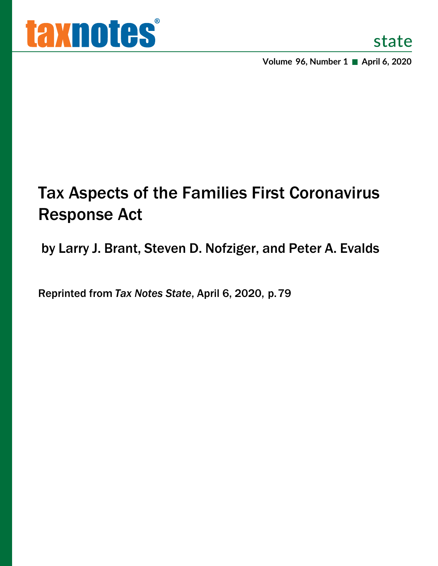**Volume 96, Number 1 ■ April 6, 2020** 

# Tax Aspects of the Families First Coronavirus Response Act

by Larry J. Brant, Steven D. Nofziger, and Peter A. Evalds

Reprinted from *Tax Notes State*, April 6, 2020, p. 79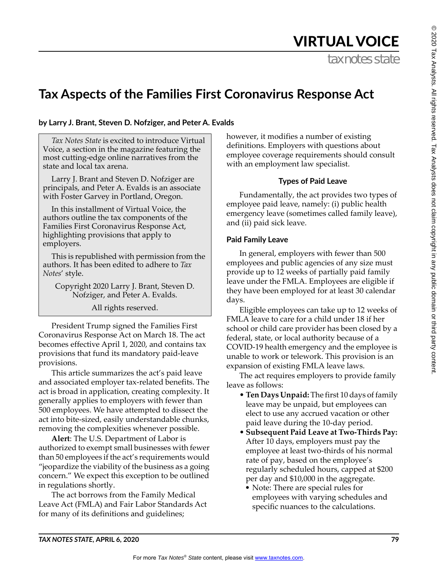# VIRTUAL VOICE

tax notes state

# **Tax Aspects of the Families First Coronavirus Response Act**

#### **by Larry J. Brant, Steven D. Nofziger, and Peter A. Evalds**

*Tax Notes State* is excited to introduce Virtual Voice, a section in the magazine featuring the most cutting-edge online narratives from the state and local tax arena.

Larry J. Brant and Steven D. Nofziger are principals, and Peter A. Evalds is an associate with Foster Garvey in Portland, Oregon.

In this installment of Virtual Voice, the authors outline the tax components of the Families First Coronavirus Response Act, highlighting provisions that apply to employers.

This is republished with permission from the authors. It has been edited to adhere to *Tax Notes*' style.

Copyright 2020 Larry J. Brant, Steven D. Nofziger, and Peter A. Evalds.

All rights reserved.

President Trump signed the Families First Coronavirus Response Act on March 18. The act becomes effective April 1, 2020, and contains tax provisions that fund its mandatory paid-leave provisions.

This article summarizes the act's paid leave and associated employer tax-related benefits. The act is broad in application, creating complexity. It generally applies to employers with fewer than 500 employees. We have attempted to dissect the act into bite-sized, easily understandable chunks, removing the complexities whenever possible.

**Alert**: The U.S. Department of Labor is authorized to exempt small businesses with fewer than 50 employees if the act's requirements would "jeopardize the viability of the business as a going concern." We expect this exception to be outlined in regulations shortly.

The act borrows from the Family Medical Leave Act (FMLA) and Fair Labor Standards Act for many of its definitions and guidelines;

however, it modifies a number of existing definitions. Employers with questions about employee coverage requirements should consult with an employment law specialist.

#### **Types of Paid Leave**

Fundamentally, the act provides two types of employee paid leave, namely: (i) public health emergency leave (sometimes called family leave), and (ii) paid sick leave.

#### **Paid Family Leave**

In general, employers with fewer than 500 employees and public agencies of any size must provide up to 12 weeks of partially paid family leave under the FMLA. Employees are eligible if they have been employed for at least 30 calendar days.

Eligible employees can take up to 12 weeks of FMLA leave to care for a child under 18 if her school or child care provider has been closed by a federal, state, or local authority because of a COVID-19 health emergency and the employee is unable to work or telework. This provision is an expansion of existing FMLA leave laws.

The act requires employers to provide family leave as follows:

- **Ten Days Unpaid:** The first 10 days of family leave may be unpaid, but employees can elect to use any accrued vacation or other paid leave during the 10-day period.
- **Subsequent Paid Leave at Two-Thirds Pay:** After 10 days, employers must pay the employee at least two-thirds of his normal rate of pay, based on the employee's regularly scheduled hours, capped at \$200 per day and \$10,000 in the aggregate.
	- Note: There are special rules for employees with varying schedules and specific nuances to the calculations.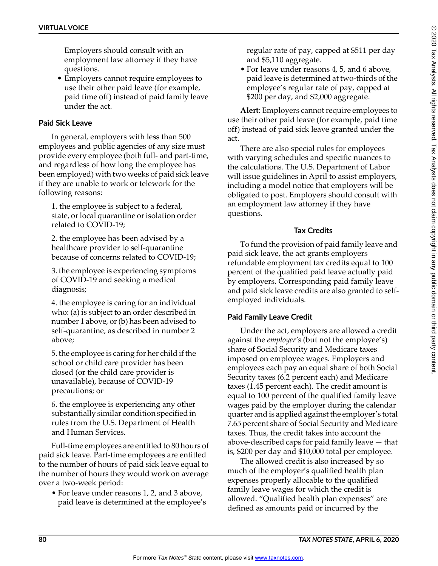Employers should consult with an employment law attorney if they have questions.

• Employers cannot require employees to use their other paid leave (for example, paid time off) instead of paid family leave under the act.

### **Paid Sick Leave**

In general, employers with less than 500 employees and public agencies of any size must provide every employee (both full- and part-time, and regardless of how long the employee has been employed) with two weeks of paid sick leave if they are unable to work or telework for the following reasons:

1. the employee is subject to a federal, state, or local quarantine or isolation order related to COVID-19;

2. the employee has been advised by a healthcare provider to self-quarantine because of concerns related to COVID-19;

3. the employee is experiencing symptoms of COVID-19 and seeking a medical diagnosis;

4. the employee is caring for an individual who: (a) is subject to an order described in number 1 above, or (b) has been advised to self-quarantine, as described in number 2 above;

5. the employee is caring for her child if the school or child care provider has been closed (or the child care provider is unavailable), because of COVID-19 precautions; or

6. the employee is experiencing any other substantially similar condition specified in rules from the U.S. Department of Health and Human Services.

Full-time employees are entitled to 80 hours of paid sick leave. Part-time employees are entitled to the number of hours of paid sick leave equal to the number of hours they would work on average over a two-week period:

• For leave under reasons 1, 2, and 3 above, paid leave is determined at the employee's regular rate of pay, capped at \$511 per day and \$5,110 aggregate.

• For leave under reasons 4, 5, and 6 above, paid leave is determined at two-thirds of the employee's regular rate of pay, capped at \$200 per day, and \$2,000 aggregate.

**Alert**: Employers cannot require employees to use their other paid leave (for example, paid time off) instead of paid sick leave granted under the act.

There are also special rules for employees with varying schedules and specific nuances to the calculations. The U.S. Department of Labor will issue guidelines in April to assist employers, including a model notice that employers will be obligated to post. Employers should consult with an employment law attorney if they have questions.

#### **Tax Credits**

To fund the provision of paid family leave and paid sick leave, the act grants employers refundable employment tax credits equal to 100 percent of the qualified paid leave actually paid by employers. Corresponding paid family leave and paid sick leave credits are also granted to selfemployed individuals.

## **Paid Family Leave Credit**

Under the act, employers are allowed a credit against the *employer's* (but not the employee's) share of Social Security and Medicare taxes imposed on employee wages. Employers and employees each pay an equal share of both Social Security taxes (6.2 percent each) and Medicare taxes (1.45 percent each). The credit amount is equal to 100 percent of the qualified family leave wages paid by the employer during the calendar quarter and is applied against the employer's total 7.65 percent share of Social Security and Medicare taxes. Thus, the credit takes into account the above-described caps for paid family leave — that is, \$200 per day and \$10,000 total per employee.

The allowed credit is also increased by so much of the employer's qualified health plan expenses properly allocable to the qualified family leave wages for which the credit is allowed. "Qualified health plan expenses" are defined as amounts paid or incurred by the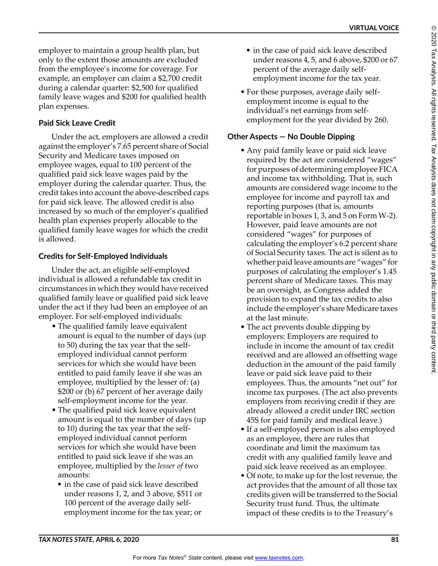employer to maintain a group health plan, but only to the extent those amounts are excluded from the employee's income for coverage. For example, an employer can claim a \$2,700 credit during a calendar quarter: \$2,500 for qualified family leave wages and \$200 for qualified health plan expenses.

# **Paid Sick Leave Credit**

Under the act, employers are allowed a credit against the employer's 7.65 percent share of Social Security and Medicare taxes imposed on employee wages, equal to 100 percent of the qualified paid sick leave wages paid by the employer during the calendar quarter. Thus, the credit takes into account the above-described caps for paid sick leave. The allowed credit is also increased by so much of the employer's qualified health plan expenses properly allocable to the qualified family leave wages for which the credit is allowed.

## **Credits for Self-Employed Individuals**

Under the act, an eligible self-employed individual is allowed a refundable tax credit in circumstances in which they would have received qualified family leave or qualified paid sick leave under the act if they had been an employee of an employer. For self-employed individuals:

- The qualified family leave equivalent amount is equal to the number of days (up to 50) during the tax year that the selfemployed individual cannot perform services for which she would have been entitled to paid family leave if she was an employee, multiplied by the lesser of: (a) \$200 or (b) 67 percent of her average daily self-employment income for the year.
- The qualified paid sick leave equivalent amount is equal to the number of days (up to 10) during the tax year that the selfemployed individual cannot perform services for which she would have been entitled to paid sick leave if she was an employee, multiplied by the *lesser of* two amounts:
	- in the case of paid sick leave described under reasons 1, 2, and 3 above, \$511 or 100 percent of the average daily selfemployment income for the tax year; or
- in the case of paid sick leave described under reasons 4, 5, and 6 above, \$200 or 67 percent of the average daily selfemployment income for the tax year.
- For these purposes, average daily selfemployment income is equal to the individual's net earnings from selfemployment for the year divided by 260.

# **Other Aspects — No Double Dipping**

- Any paid family leave or paid sick leave required by the act are considered "wages" for purposes of determining employee FICA and income tax withholding. That is, such amounts are considered wage income to the employee for income and payroll tax and reporting purposes (that is, amounts reportable in boxes 1, 3, and 5 on Form W-2). However, paid leave amounts are not considered "wages" for purposes of calculating the employer's 6.2 percent share of Social Security taxes. The act is silent as to whether paid leave amounts are "wages" for purposes of calculating the employer's 1.45 percent share of Medicare taxes. This may be an oversight, as Congress added the provision to expand the tax credits to also include the employer's share Medicare taxes at the last minute.
- The act prevents double dipping by employers: Employers are required to include in income the amount of tax credit received and are allowed an offsetting wage deduction in the amount of the paid family leave or paid sick leave paid to their employees. Thus, the amounts "net out" for income tax purposes. (The act also prevents employers from receiving credit if they are already allowed a credit under IRC section 45S for paid family and medical leave.)
- If a self-employed person is also employed as an employee, there are rules that coordinate and limit the maximum tax credit with any qualified family leave and paid sick leave received as an employee.
- Of note, to make up for the lost revenue, the act provides that the amount of all those tax credits given will be transferred to the Social Security trust fund. Thus, the ultimate impact of these credits is to the Treasury's